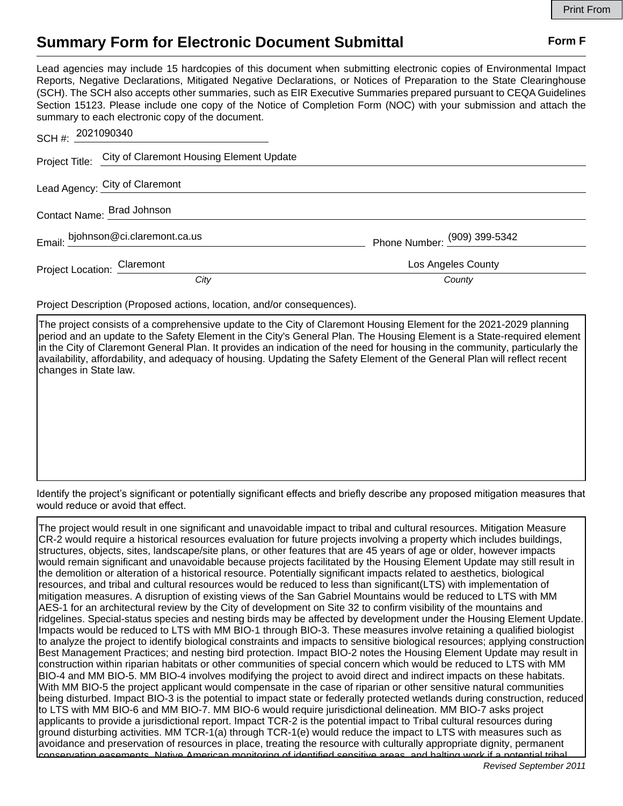## **Summary Form for Electronic Document Submittal Form F Form F**

Lead agencies may include 15 hardcopies of this document when submitting electronic copies of Environmental Impact Reports, Negative Declarations, Mitigated Negative Declarations, or Notices of Preparation to the State Clearinghouse (SCH). The SCH also accepts other summaries, such as EIR Executive Summaries prepared pursuant to CEQA Guidelines Section 15123. Please include one copy of the Notice of Completion Form (NOC) with your submission and attach the summary to each electronic copy of the document.

| SCH #: 2021090340           |                                                         |                                |
|-----------------------------|---------------------------------------------------------|--------------------------------|
|                             | Project Title: City of Claremont Housing Element Update |                                |
|                             | Lead Agency: City of Claremont                          |                                |
| Contact Name: Brad Johnson  |                                                         |                                |
|                             | Email: bjohnson@ci.claremont.ca.us                      | Phone Number: $(909)$ 399-5342 |
| Project Location: Claremont |                                                         | Los Angeles County             |
|                             | City                                                    | County                         |

Project Description (Proposed actions, location, and/or consequences).

The project consists of a comprehensive update to the City of Claremont Housing Element for the 2021-2029 planning period and an update to the Safety Element in the City's General Plan. The Housing Element is a State-required element in the City of Claremont General Plan. It provides an indication of the need for housing in the community, particularly the availability, affordability, and adequacy of housing. Updating the Safety Element of the General Plan will reflect recent changes in State law.

Identify the project's significant or potentially significant effects and briefly describe any proposed mitigation measures that would reduce or avoid that effect.

The project would result in one significant and unavoidable impact to tribal and cultural resources. Mitigation Measure CR-2 would require a historical resources evaluation for future projects involving a property which includes buildings, structures, objects, sites, landscape/site plans, or other features that are 45 years of age or older, however impacts would remain significant and unavoidable because projects facilitated by the Housing Element Update may still result in the demolition or alteration of a historical resource. Potentially significant impacts related to aesthetics, biological resources, and tribal and cultural resources would be reduced to less than significant(LTS) with implementation of mitigation measures. A disruption of existing views of the San Gabriel Mountains would be reduced to LTS with MM AES-1 for an architectural review by the City of development on Site 32 to confirm visibility of the mountains and ridgelines. Special-status species and nesting birds may be affected by development under the Housing Element Update. Impacts would be reduced to LTS with MM BIO-1 through BIO-3. These measures involve retaining a qualified biologist to analyze the project to identify biological constraints and impacts to sensitive biological resources; applying construction Best Management Practices; and nesting bird protection. Impact BIO-2 notes the Housing Element Update may result in construction within riparian habitats or other communities of special concern which would be reduced to LTS with MM BIO-4 and MM BIO-5. MM BIO-4 involves modifying the project to avoid direct and indirect impacts on these habitats. With MM BIO-5 the project applicant would compensate in the case of riparian or other sensitive natural communities being disturbed. Impact BIO-3 is the potential to impact state or federally protected wetlands during construction, reduced to LTS with MM BIO-6 and MM BIO-7. MM BIO-6 would require jurisdictional delineation. MM BIO-7 asks project applicants to provide a jurisdictional report. Impact TCR-2 is the potential impact to Tribal cultural resources during ground disturbing activities. MM TCR-1(a) through TCR-1(e) would reduce the impact to LTS with measures such as avoidance and preservation of resources in place, treating the resource with culturally appropriate dignity, permanent conservation easements, Native American monitoring of identified sensitive areas, and halting work if a potential tribal